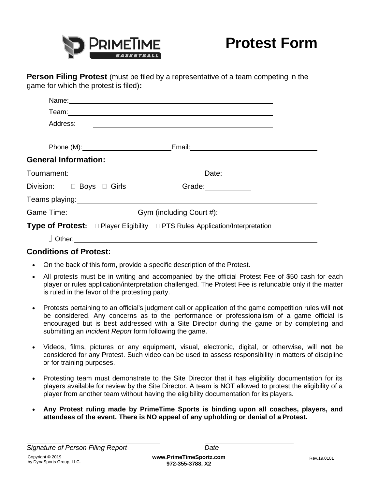

**Person Filing Protest** (must be filed by a representative of a team competing in the game for which the protest is filed)**:**

| Address:                                                                                                       | <u> 1980 - Andrea Brand, amerikansk politik (d. 1980)</u> |  |
|----------------------------------------------------------------------------------------------------------------|-----------------------------------------------------------|--|
|                                                                                                                | Phone (M): Email: Email:                                  |  |
| <b>General Information:</b>                                                                                    |                                                           |  |
| Tournament: __________________________________                                                                 | Date: 2004                                                |  |
|                                                                                                                |                                                           |  |
| Teams playing: www.astronomia.com/www.astronomia.com/www.astronomia.com/www.astronomia.com/www.astronomia.com/ |                                                           |  |
| Game Time:______________                                                                                       |                                                           |  |
| <b>Type of Protest:</b> □ Player Eligibility □ PTS Rules Application/Interpretation                            |                                                           |  |
|                                                                                                                |                                                           |  |

## **Conditions of Protest:**

- On the back of this form, provide a specific description of the Protest.
- All protests must be in writing and accompanied by the official Protest Fee of \$50 cash for each player or rules application/interpretation challenged. The Protest Fee is refundable only if the matter is ruled in the favor of the protesting party.
- Protests pertaining to an official's judgment call or application of the game competition rules will **not**  be considered. Any concerns as to the performance or professionalism of a game official is encouraged but is best addressed with a Site Director during the game or by completing and submitting an *Incident Report* form following the game.
- Videos, films, pictures or any equipment, visual, electronic, digital, or otherwise, will **not** be considered for any Protest. Such video can be used to assess responsibility in matters of discipline or for training purposes.
- Protesting team must demonstrate to the Site Director that it has eligibility documentation for its players available for review by the Site Director. A team is NOT allowed to protest the eligibility of a player from another team without having the eligibility documentation for its players.
- **Any Protest ruling made by PrimeTime Sports is binding upon all coaches, players, and attendees of the event. There is NO appeal of any upholding or denial of a Protest.**